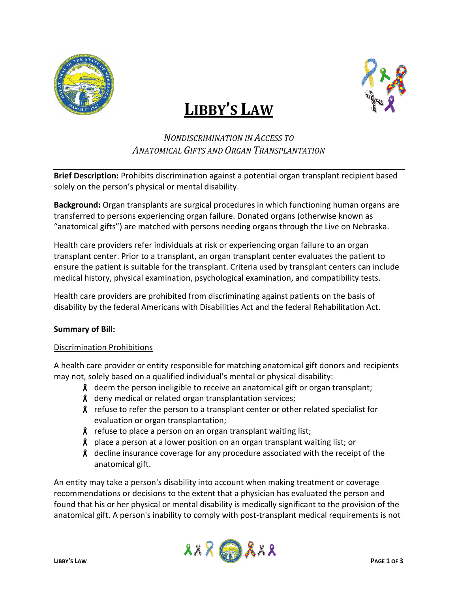

# **LIBBY'S LAW**



## *NONDISCRIMINATION IN ACCESS TO ANATOMICAL GIFTS AND ORGAN TRANSPLANTATION*

**Brief Description:** Prohibits discrimination against a potential organ transplant recipient based solely on the person's physical or mental disability.

**Background:** Organ transplants are surgical procedures in which functioning human organs are transferred to persons experiencing organ failure. Donated organs (otherwise known as "anatomical gifts") are matched with persons needing organs through the Live on Nebraska.

Health care providers refer individuals at risk or experiencing organ failure to an organ transplant center. Prior to a transplant, an organ transplant center evaluates the patient to ensure the patient is suitable for the transplant. Criteria used by transplant centers can include medical history, physical examination, psychological examination, and compatibility tests.

Health care providers are prohibited from discriminating against patients on the basis of disability by the federal Americans with Disabilities Act and the federal Rehabilitation Act.

### **Summary of Bill:**

### Discrimination Prohibitions

A health care provider or entity responsible for matching anatomical gift donors and recipients may not, solely based on a qualified individual's mental or physical disability:

- $\lambda$  deem the person ineligible to receive an anatomical gift or organ transplant;
- $\beta$  deny medical or related organ transplantation services;
- $\lambda$  refuse to refer the person to a transplant center or other related specialist for evaluation or organ transplantation;
- $\lambda$  refuse to place a person on an organ transplant waiting list;
- $\boldsymbol{\mathcal{R}}$  place a person at a lower position on an organ transplant waiting list; or
- **8** decline insurance coverage for any procedure associated with the receipt of the anatomical gift.

An entity may take a person's disability into account when making treatment or coverage recommendations or decisions to the extent that a physician has evaluated the person and found that his or her physical or mental disability is medically significant to the provision of the anatomical gift. A person's inability to comply with post-transplant medical requirements is not

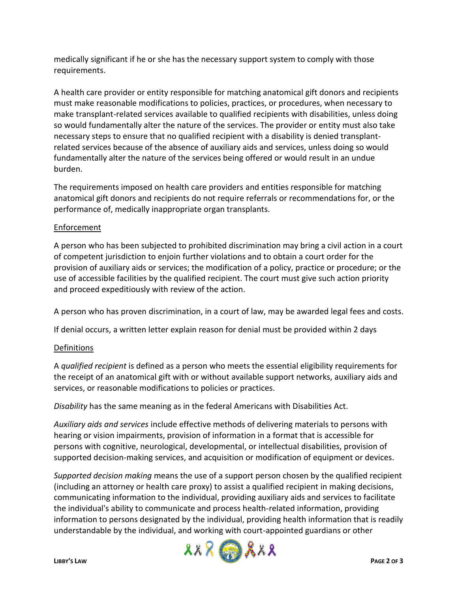medically significant if he or she has the necessary support system to comply with those requirements.

A health care provider or entity responsible for matching anatomical gift donors and recipients must make reasonable modifications to policies, practices, or procedures, when necessary to make transplant-related services available to qualified recipients with disabilities, unless doing so would fundamentally alter the nature of the services. The provider or entity must also take necessary steps to ensure that no qualified recipient with a disability is denied transplantrelated services because of the absence of auxiliary aids and services, unless doing so would fundamentally alter the nature of the services being offered or would result in an undue burden.

The requirements imposed on health care providers and entities responsible for matching anatomical gift donors and recipients do not require referrals or recommendations for, or the performance of, medically inappropriate organ transplants.

### Enforcement

A person who has been subjected to prohibited discrimination may bring a civil action in a court of competent jurisdiction to enjoin further violations and to obtain a court order for the provision of auxiliary aids or services; the modification of a policy, practice or procedure; or the use of accessible facilities by the qualified recipient. The court must give such action priority and proceed expeditiously with review of the action.

A person who has proven discrimination, in a court of law, may be awarded legal fees and costs.

If denial occurs, a written letter explain reason for denial must be provided within 2 days

### Definitions

A *qualified recipient* is defined as a person who meets the essential eligibility requirements for the receipt of an anatomical gift with or without available support networks, auxiliary aids and services, or reasonable modifications to policies or practices.

*Disability* has the same meaning as in the federal Americans with Disabilities Act.

*Auxiliary aids and services* include effective methods of delivering materials to persons with hearing or vision impairments, provision of information in a format that is accessible for persons with cognitive, neurological, developmental, or intellectual disabilities, provision of supported decision-making services, and acquisition or modification of equipment or devices.

*Supported decision making* means the use of a support person chosen by the qualified recipient (including an attorney or health care proxy) to assist a qualified recipient in making decisions, communicating information to the individual, providing auxiliary aids and services to facilitate the individual's ability to communicate and process health-related information, providing information to persons designated by the individual, providing health information that is readily understandable by the individual, and working with court-appointed guardians or other